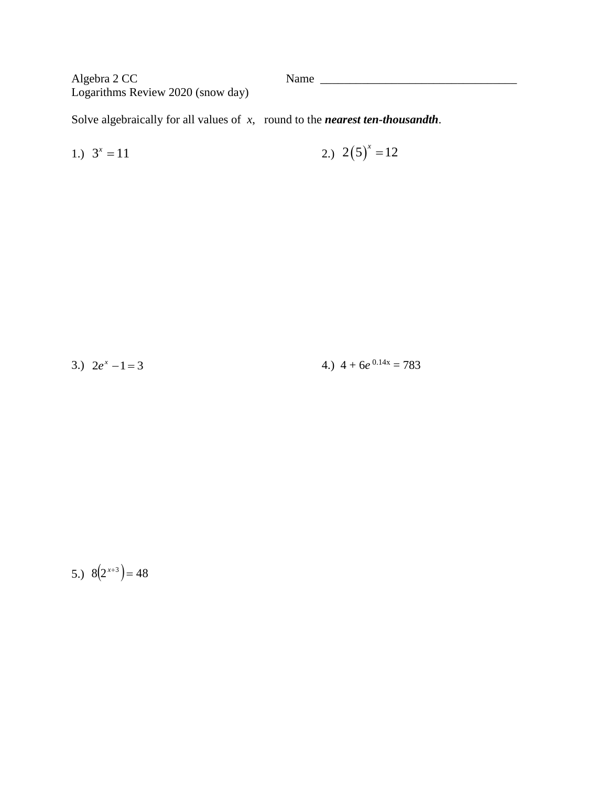Algebra 2 CC Logarithms Review 2020 (snow day) Name

Solve algebraically for all values of  $x$ , round to the *nearest ten-thousandth*.

1.) 
$$
3^x = 11
$$
 2.)  $2(5)^x = 12$ 

4.)  $4 + 6e^{0.14x} = 783$ 3.)  $2e^x - 1 = 3$ 

5.)  $8(2^{x+3}) = 48$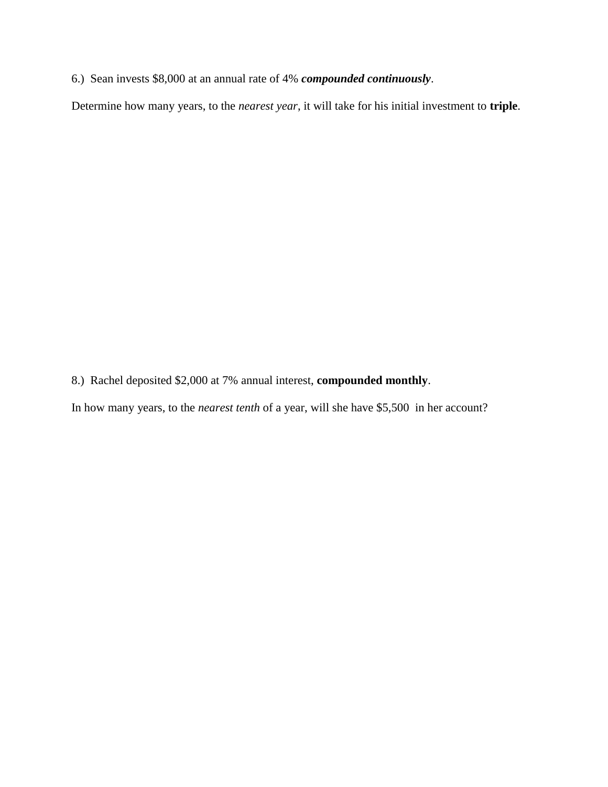6.) Sean invests \$8,000 at an annual rate of 4% *compounded continuously*.

Determine how many years, to the *nearest year*, it will take for his initial investment to **triple**.

- 8.) Rachel deposited \$2,000 at 7% annual interest, **compounded monthly**.
- In how many years, to the *nearest tenth* of a year, will she have \$5,500 in her account?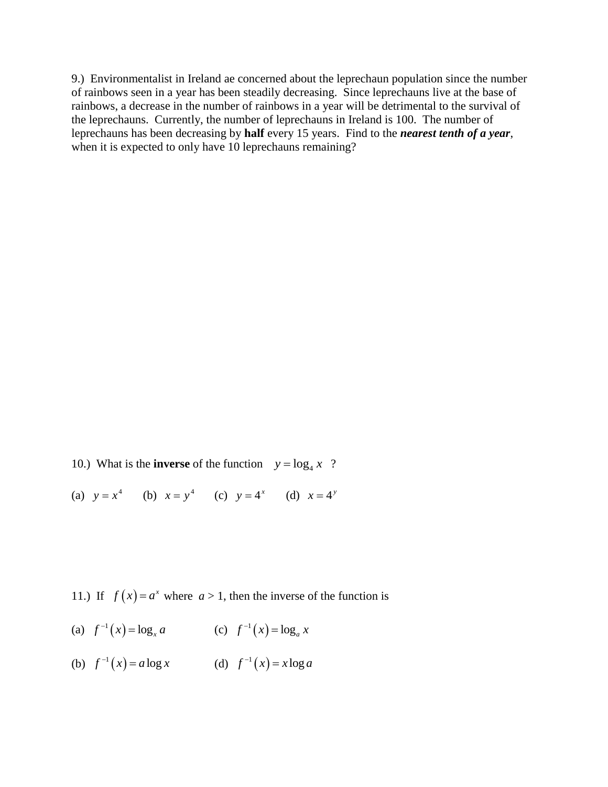9.) Environmentalist in Ireland ae concerned about the leprechaun population since the number of rainbows seen in a year has been steadily decreasing. Since leprechauns live at the base of rainbows, a decrease in the number of rainbows in a year will be detrimental to the survival of the leprechauns. Currently, the number of leprechauns in Ireland is 100. The number of leprechauns has been decreasing by **half** every 15 years. Find to the *nearest tenth of a year*, when it is expected to only have 10 leprechauns remaining?

- 10.) What is the **inverse** of the function  $y = \log_4 x$ ?
- (a)  $y = x^4$  (b)  $x = y^4$  (c)  $y = 4^x$  (d)  $x = 4^y$

11.) If  $f(x) = a^x$  where  $a > 1$ , then the inverse of the function is

- (a)  $f^{-1}(x) = \log_x a$  (c)  $f^{-1}(x) = \log_a x$
- (b)  $f^{-1}(x) = a \log x$  (d)  $f^{-1}(x) = x \log a$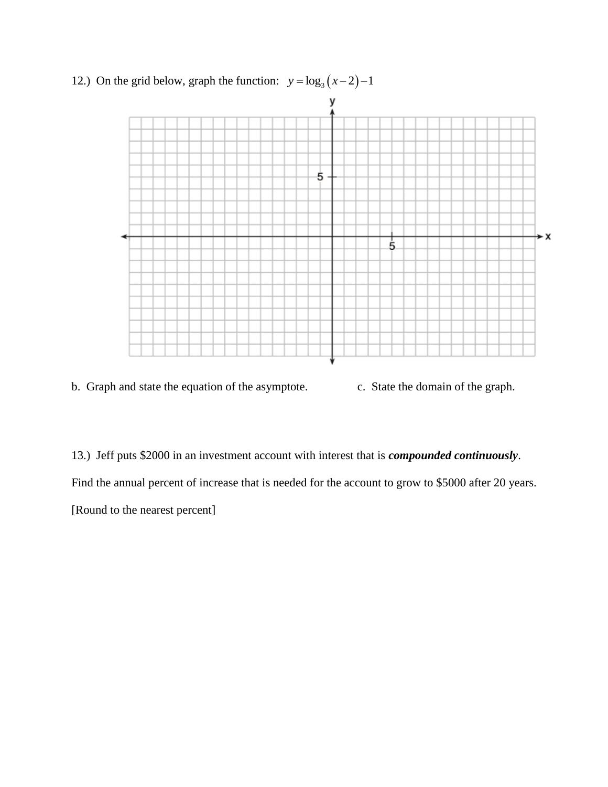

12.) On the grid below, graph the function:  $y = log_3(x-2)-1$ 

b. Graph and state the equation of the asymptote. c. State the domain of the graph.

13.) Jeff puts \$2000 in an investment account with interest that is *compounded continuously*.

Find the annual percent of increase that is needed for the account to grow to \$5000 after 20 years.

[Round to the nearest percent]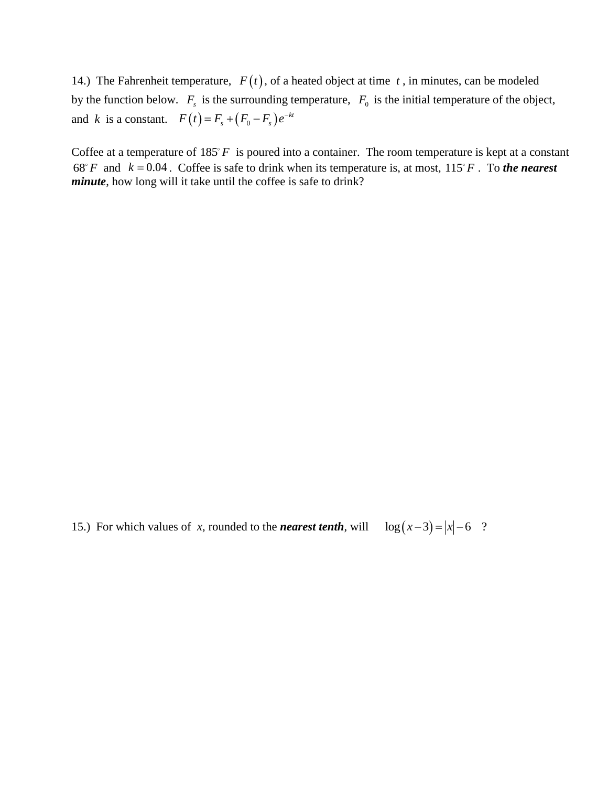14.) The Fahrenheit temperature,  $F(t)$ , of a heated object at time  $t$ , in minutes, can be modeled by the function below.  $F_s$  is the surrounding temperature,  $F_0$  is the initial temperature of the object, and *k* is a constant.  $F(t) = F_s + (F_0 - F_s)e^{-kt}$ 

Coffee at a temperature of  $185^{\circ}F$  is poured into a container. The room temperature is kept at a constant 68° *F* and  $k = 0.04$ . Coffee is safe to drink when its temperature is, at most, 115° *F*. To *the nearest minute*, how long will it take until the coffee is safe to drink?

15.) For which values of *x*, rounded to the *nearest tenth*, will  $\log(x-3) = |x|-6$  ?